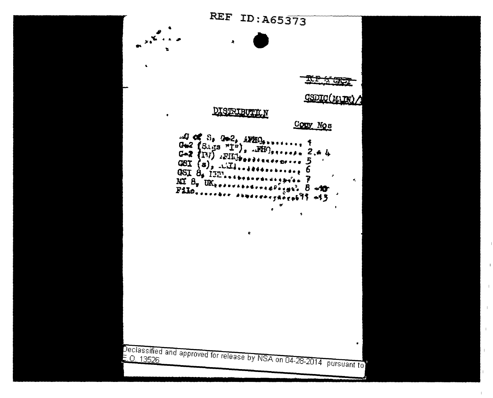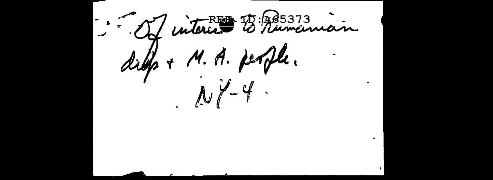1. Je interest 23. Ross 73 dille + M. A. people.  $NY-4$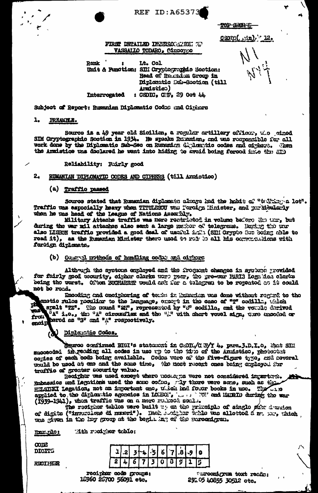**REF ID: A65373** 

TOP SMR E

 $CSD(C(\frac{1}{2})^{1/2})$  12.

#### FIRST DETAILED INNERSOCATION TO VASSALIO TODARO, Ciusopo

**Renk** Lt. Col  $\bullet$ Unit & Runotion: SIM Crygtographic Section: Head of Rescuden Group in Diplomatic Sub-Soction (till (cafianna : CSDIC.  $Q(\bar{W}_2, 29)$  Oct  $44$ . **Interrogated** 

Subject of Report: Rumanian Diplomatic Codos und Cigars

#### 1. **FREAKHLE.**

Source is a 49 year old Sicilian, a regular artillery officer, the pired SIM Cryptographic Soction in 1934. He speaks Runnian, and was responsible for all work done by the Diplomatic Sub-Sec on Russmicn Ciplomphic codes and ciphers. Then the Armistice was declared he went into hiding to avoid being forced into the SID

# Reliability: Fuirly good

#### $2.$ RUMANIAN DIPLOMATIC CODES AND CIPHERS (till Armintico)

#### (a) Traffic passed

Source stated that Rumanian diplomate always had the habit of "trilling a lot". Traffic was especially heavy when TITULECU was Toroign Hinister, and gurkienismly when he was head of the League of Nations Assochly.

Military Attachs traffic was nore restricted in volume before the tur, but during the war mil attaches also sent a large music of telegrens. During the unr also LISBON traffic provided a good deal of usoful i.m. (SHI Orygoo Son boding able to read it), as the Rumanian Minister there used to rely is all his correrousions with forsign diplomate.

#### attice has pollow a humiling to abodive from (d)

Although the systems employed and the froguent changes in system grovided for fairly good security, cipher clerks were per, the pre-war PARIS logalical clerks being the worst. Often BUCHAREST would ask for a telegran to be repeated on it could not bo road.

Encoding and onciphering of tenin in Runation was done without regard to the cnetic rules posiliar to the language, encort in the case of "T" cedilla, thich spelt "TZ". The mound "Sf", represented by "5" codilla, and the vouble dorived encipe bared as "3" and "4" respectively.

## ) Diplomiio Codes.

Senroe confirmed HUI's statement in CEOR/CUY 4. para. J.D.I.o. Mat SEM comies of each code being available. Codes were of the five-figure type, and several would be used at one and the same time, the next recent ones being employed for traffic of greater socurity value.

Reciphor was used except where noninges were not considered ingartego. Enhassies and Legations used the same cofon, Ay there were some, such as there HHISHKI Legation, not an important one, whole four books in use. The wine applied to the diplomatic agencies in 100000 , we will condition during the war (1939-1941), when traffic was on a more reduce soal..

The reciphor tables were built we on the principle of single stor dension of digits ("inversions dimensions"). Hoch definite table was allotted a man ore this product was given in the lay group at the begin ing of the sareonigram.

Mith recigner toble: Exx.plot

**COTE** DIGITS

RECIHER

 $\overline{\mathbf{a}}$ 2 Ű

recipher code groups: 10960 26700 56091 etc.

Turoonigrom toxt reads: 29105 40855 30512 otc.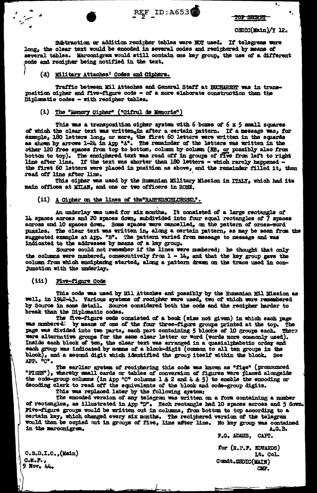

TOP SECRET

#### CSDIC(Main)/Y 12.

 $\overline{\mathbf{r}}$ 

 $\bullet_{\scriptscriptstyle\mathsf{A}}$ 

Subtraction or addition recipher tables were NOT used. If telegrams were long, the olear text would be encoded in several codes and reciphered by means of several tables. Marconigram would still contain one key group, the use of a different code and recipher being notified in the text.

### (d) Military Attaches' Codes and Ciphers.

Traffic between Mil Attaches and General Staff at BUCHAREST was in transposition oipher and five-figure code - of a more elaborate construction than the Diplomatic codes - with recipher tables.

### (i) The "Memory Cipher" ("Cifrul de Memorie")

This was a transposition oipher system with 6 boxes of 6 x 5 small squares of which the clear text was written<sub>x</sub>in after a certain pattern. If a message was, for example, 180 letters long, or more, the first 60 letters were written in the squares as shown by arrows 1-24 in App "A". The remainder of the letters was written in the other 120 free spaces from top to bottom, column by column (NB, or possibly also from bottom to top). The enciphered text was read off in groups of five from left to right<br>line after line. If the text was shorter than 180 letters - which rarely happened the first 60 letters were placed in position as above, and the remainder filled it, then read off line after line.

This cipher was used by the Rumanian Military Mission in ITALY, which had its main offices at MITAN, and one or two officers in ROME.

(ii) A Cipher on the lines of the RASTERSCHLUESSEL".

An underlay was used for six months. It consisted of a large rectangle of 14 spaces across and 20 spaces down, subdivided into four equal rectangles of 7 spaces across and 10 spaces down. Some spaces were cancelled, on the pattern of cross-word puzzles. The olear text was written in, along a certain pattern, as may be seen from the suggested example at App. "B". The pattern varied from message to message and was indicated to the addressee by means of a key group.<br>Source could not remember if the lines were numbered; he thought that only

the columns were numbered, consecutively from  $1 - 14$ , and that the key group gave the column from which enciphering started, along a pattern drawn on the trace used in conjunction with the underlay.

#### $(iii)$ Five-figure Code

This code was used by Mil Attaches and possibly by the Rumanian Mil Mission as<br>well, in 1942-43. Various systems of recipher were used, two of which were remembered by Source in some detail. Source considered both the code and the recipher harder to break than the Diplomatic codes.

The five-figure code consisted of a book (size not given) in which each page<br>was numbered: by means of one of the four three-figure groups printed at the top. The<br>page was divided into two parts, each part containing 5 blo were alternative groups for the same clear letter or word (words nore commonly used). Inside each block of ten, the clear tert was arranged in a quasialphabetic order and each group was indicated by means of a block-digit (common to all ten groups in the blook), and a second digit which identified the group itself within the blook. See APP. "C".

The earlier aystem of reciphering this code was known as "fige" (pronounced "FISHE"), whereby small cards or tables of conversion of figures were placed alongside the code-group columns (in App "C" columns 1 & 2 and 4 & 5) to enable the encoding or decoding clerk to read off the equivalents of the blook and code-group digits.

This was replaced later by the following system:

The encoded version of any telegram was written on a form containing a number of rectangles, as illustrated in App<sup>sp</sup>. Each rectangle had 10 spaces across and 5 down. Pive-figure groups would be written out in columns, from bottom to top according to a certain key, which changed every six months. The reciphered version of the telegram would then be copied out in groups of five, line after line. No key group was contained in the marconigram. A.G. B.

F.G. ADAMS, CAPT.

for (R.P.F. EDWARDS) Lt. Col. **Gomdt.CSDIC(MAIN)** CMP.

 $C.S.D.I.C., (Math)$  $C-K-F$ .,  $9$  Nov.  $44.$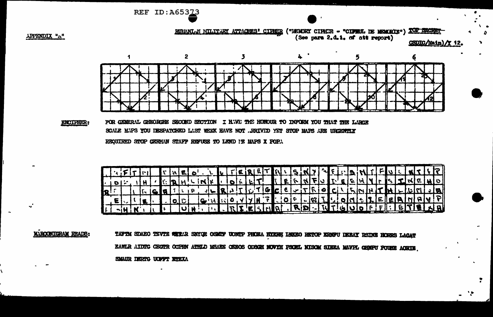REF ID: A65373

RUMANL JI HILITARY ATTACHES' CIPHER ("HEMORY CIPHER - "CIPRUL DE MEMORIE") TOP SECR (See para 2.d.1. of att report) CSDIC/Main)/Y 12

APPENDIX "A"



FOR CEMERAL CHEORCHE SECOND SECTION I HAVE THE HONOUR TO INFORM YOU THAT THE LARCE **ENCIPHER:** SCALE MAPS YOU DESPATCHED LAST WEEK HAVE NOT .. RRIVED YET STOP MAPS ARE URGENTLY REQUIRED STOP GERMAN STAFF REFUSE TO LEND IT MAPS X POP.

|  |  |                                                           |  |  | THE CONFIDENTIAL TERRET QUENT LE CARA CONTFULINTE |  |  |  |  |  |  |  |  |  |  |  |  |  |
|--|--|-----------------------------------------------------------|--|--|---------------------------------------------------|--|--|--|--|--|--|--|--|--|--|--|--|--|
|  |  |                                                           |  |  |                                                   |  |  |  |  |  |  |  |  |  |  |  |  |  |
|  |  |                                                           |  |  | FIGQTLP JLRJTLTGCE-TROCLLANDHLUMJE                |  |  |  |  |  |  |  |  |  |  |  |  |  |
|  |  | $\left  \mathbf{z} \right $ . $\left  \mathbf{z} \right $ |  |  | GINISOVYHF OF GIT OMERFERMAVP                     |  |  |  |  |  |  |  |  |  |  |  |  |  |
|  |  |                                                           |  |  | TUIN TI REESINA RD-NTGUOFF GETENE                 |  |  |  |  |  |  |  |  |  |  |  |  |  |

**MARCONICRAM READS:** 

"'

TAFTM SDAEO TEVTE WERAR SNIGE OSMIF UONIP PHOEA HYERH LWARO RETOP ERNFU DEEAY RSING HORRS LACAT EAWLR AIDIG CECTR OCFRN ATHLD MSAEE GEEOS ODSGH NOVYH PSOEL NISOM SIERA MAVFL GENEU POUSE AORTE SMAUR DERTG UOFFT ETEXA

N,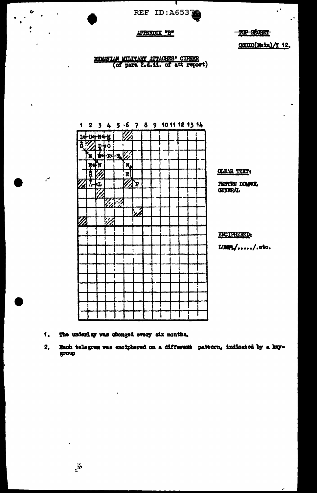

T

### APPENDIX "B"

 $\mathbf{C}$ 

 $\ddot{\cdot}$ 

 $\mathcal{L}$ 

**ROP SECRET** 

CSDIIC(Main) / 12.

 $\mathcal{C}^{\bullet}$ 

 $\cdot$ 

RUMANIAN MULTARY ATTACHES' CIFRER<br>(of para 2.d.11. of att report)



- 1. The underlay was changed every six months.
- $2<sub>•</sub>$ Bach telegram was enciphered on a different pattern, indicated by a keygroup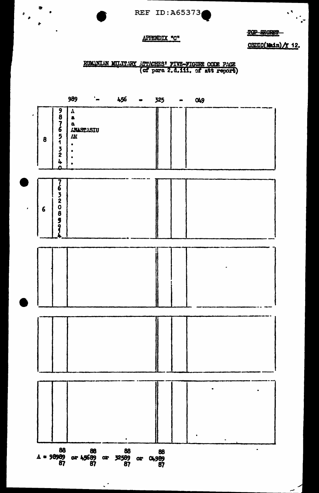

TOP SECRET

# APPENDIX "C"

 $\bullet$ 

 $\frac{1}{2}$ 

 $\bullet$ 

 $\epsilon$  ,  $\epsilon$ 

 $\cdot$ 

 $CSDIC(1001n)/T$  12.

 $\mathbf{r}_\mathrm{a}$ 

 $\frac{1}{2}$ 

RUMINIAN MILITARY ATTACHES' FIVE-FIGURE CODE PACE

|                   |                                   | 989                                                                        | $\mathbf{L}$                                    | 456               | $\bullet$            | 325 | œ | 049       |   |
|-------------------|-----------------------------------|----------------------------------------------------------------------------|-------------------------------------------------|-------------------|----------------------|-----|---|-----------|---|
| ٠<br>8            | 987651<br>$\frac{3}{2}$<br>4<br>Ω | $\pmb{\Lambda}$<br>$\pmb{\delta}$<br>$\pmb{\mathsf a}$<br>ANASTASIU<br>V7. |                                                 |                   |                      |     |   |           |   |
|                   |                                   |                                                                            |                                                 |                   |                      |     |   |           |   |
| $6\phantom{1}$    | 763208591                         |                                                                            |                                                 |                   |                      |     |   |           |   |
|                   |                                   |                                                                            |                                                 |                   |                      |     |   |           |   |
|                   |                                   |                                                                            |                                                 |                   |                      |     |   |           |   |
|                   |                                   |                                                                            |                                                 |                   |                      |     |   |           |   |
|                   |                                   |                                                                            |                                                 |                   |                      |     |   |           |   |
|                   |                                   |                                                                            |                                                 |                   |                      |     |   |           |   |
|                   |                                   |                                                                            |                                                 |                   |                      |     |   | $\bullet$ |   |
| $A = 98989$<br>87 |                                   |                                                                            | $\frac{88}{\text{or }45689}$ or $\frac{88}{87}$ | 88<br>32589<br>87 | 88<br>02 O4989<br>87 |     |   |           | ٠ |

 $\ddot{\phantom{a}}$